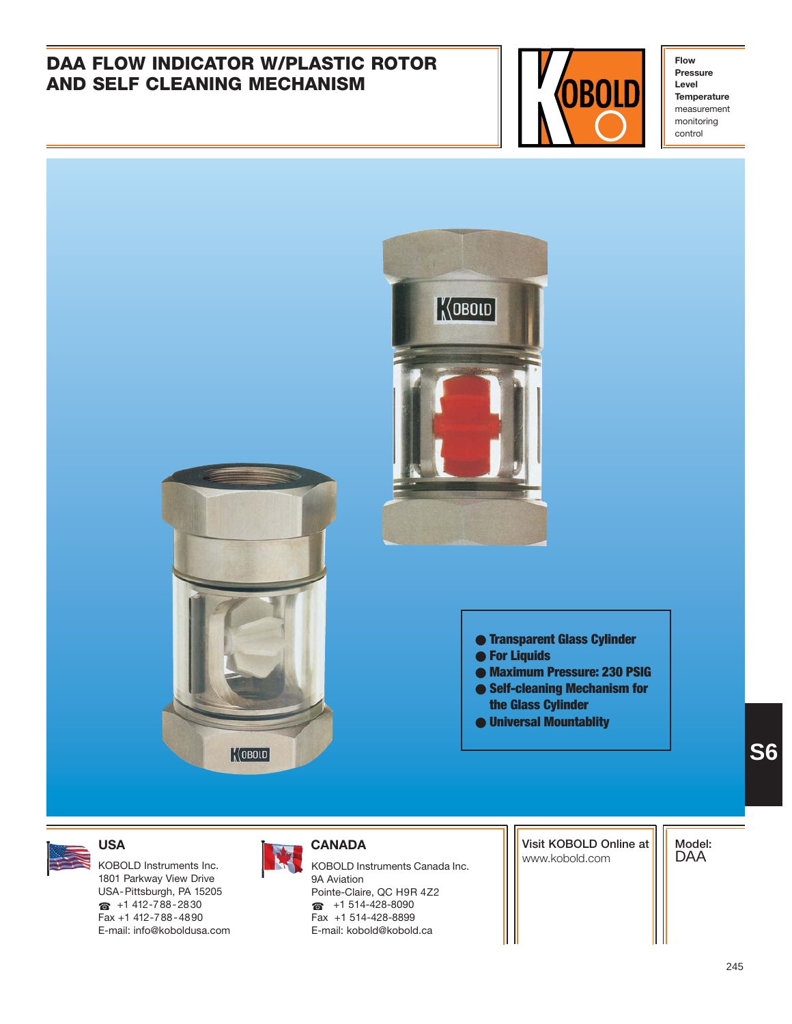# **DAA FLOW INDICATOR W/PLASTIC ROTOR AND SELF CLEANING MECHANISM**



**Flow Pressure Level Temperature** measurement monitoring control





### ● **Transparent Glass Cylinder**

- **For Liquids**
- **Maximum Pressure: 230 PSIG**
- **Self-cleaning Mechanism for the Glass Cylinder**
- **Universal Mountablity**

1801 Parkway View Drive USA-Pittsburgh, PA 15205 ☎ +1 412-788-2830 Fax +1 412-788-4890 E-mail: info@koboldusa.com

### **USA CANADA**

KOBOLD Instruments Inc. **KOBOLD Instruments Canada Inc.** And Instruments Canada Inc. 9A Aviation Pointe-Claire, QC H9R 4Z2 ☎ +1 514-428-8090 Fax +1 514-428-8899 E-mail: kobold@kobold.ca

**Visit KOBOLD Online at**

**Model:** DAA